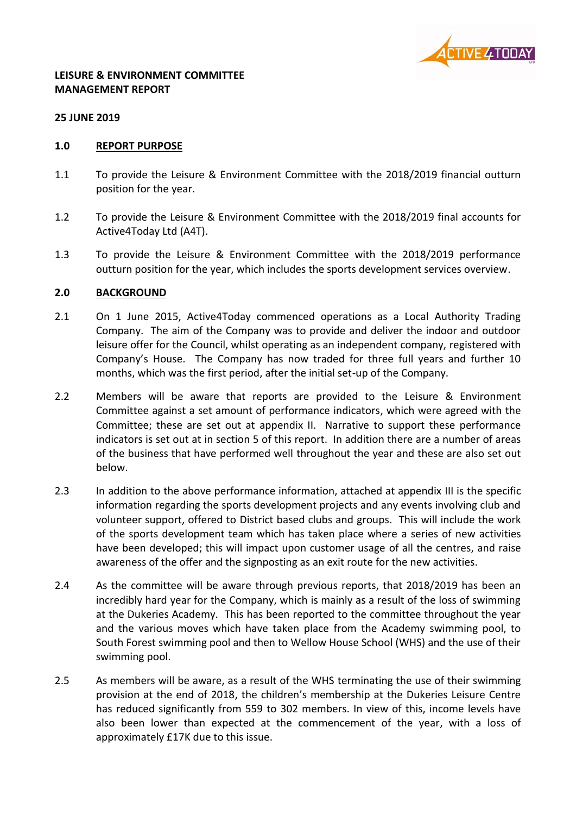

#### **LEISURE & ENVIRONMENT COMMITTEE MANAGEMENT REPORT**

#### **25 JUNE 2019**

#### **1.0 REPORT PURPOSE**

- 1.1 To provide the Leisure & Environment Committee with the 2018/2019 financial outturn position for the year.
- 1.2 To provide the Leisure & Environment Committee with the 2018/2019 final accounts for Active4Today Ltd (A4T).
- 1.3 To provide the Leisure & Environment Committee with the 2018/2019 performance outturn position for the year, which includes the sports development services overview.

#### **2.0 BACKGROUND**

- 2.1 On 1 June 2015, Active4Today commenced operations as a Local Authority Trading Company. The aim of the Company was to provide and deliver the indoor and outdoor leisure offer for the Council, whilst operating as an independent company, registered with Company's House. The Company has now traded for three full years and further 10 months, which was the first period, after the initial set-up of the Company.
- 2.2 Members will be aware that reports are provided to the Leisure & Environment Committee against a set amount of performance indicators, which were agreed with the Committee; these are set out at appendix II. Narrative to support these performance indicators is set out at in section 5 of this report. In addition there are a number of areas of the business that have performed well throughout the year and these are also set out below.
- 2.3 In addition to the above performance information, attached at appendix III is the specific information regarding the sports development projects and any events involving club and volunteer support, offered to District based clubs and groups. This will include the work of the sports development team which has taken place where a series of new activities have been developed; this will impact upon customer usage of all the centres, and raise awareness of the offer and the signposting as an exit route for the new activities.
- 2.4 As the committee will be aware through previous reports, that 2018/2019 has been an incredibly hard year for the Company, which is mainly as a result of the loss of swimming at the Dukeries Academy. This has been reported to the committee throughout the year and the various moves which have taken place from the Academy swimming pool, to South Forest swimming pool and then to Wellow House School (WHS) and the use of their swimming pool.
- 2.5 As members will be aware, as a result of the WHS terminating the use of their swimming provision at the end of 2018, the children's membership at the Dukeries Leisure Centre has reduced significantly from 559 to 302 members. In view of this, income levels have also been lower than expected at the commencement of the year, with a loss of approximately £17K due to this issue.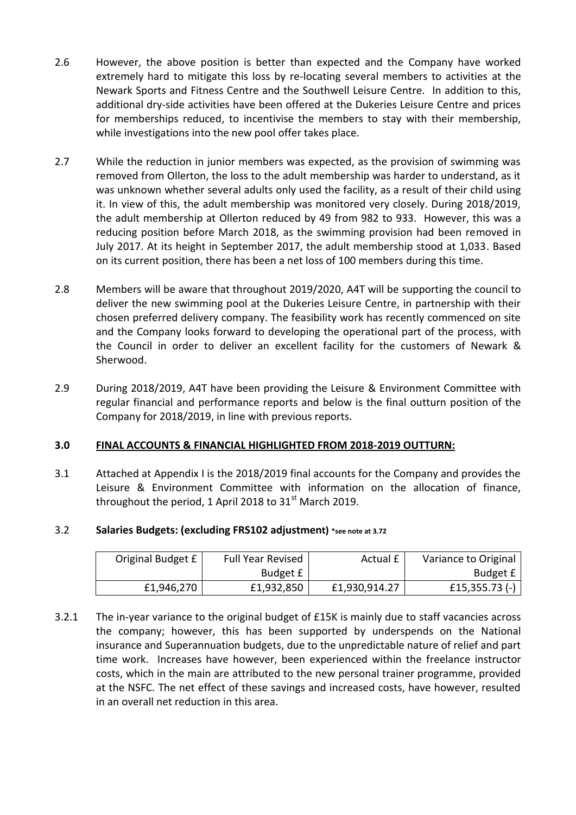- 2.6 However, the above position is better than expected and the Company have worked extremely hard to mitigate this loss by re-locating several members to activities at the Newark Sports and Fitness Centre and the Southwell Leisure Centre. In addition to this, additional dry-side activities have been offered at the Dukeries Leisure Centre and prices for memberships reduced, to incentivise the members to stay with their membership, while investigations into the new pool offer takes place.
- 2.7 While the reduction in junior members was expected, as the provision of swimming was removed from Ollerton, the loss to the adult membership was harder to understand, as it was unknown whether several adults only used the facility, as a result of their child using it. In view of this, the adult membership was monitored very closely. During 2018/2019, the adult membership at Ollerton reduced by 49 from 982 to 933. However, this was a reducing position before March 2018, as the swimming provision had been removed in July 2017. At its height in September 2017, the adult membership stood at 1,033. Based on its current position, there has been a net loss of 100 members during this time.
- 2.8 Members will be aware that throughout 2019/2020, A4T will be supporting the council to deliver the new swimming pool at the Dukeries Leisure Centre, in partnership with their chosen preferred delivery company. The feasibility work has recently commenced on site and the Company looks forward to developing the operational part of the process, with the Council in order to deliver an excellent facility for the customers of Newark & Sherwood.
- 2.9 During 2018/2019, A4T have been providing the Leisure & Environment Committee with regular financial and performance reports and below is the final outturn position of the Company for 2018/2019, in line with previous reports.

# **3.0 FINAL ACCOUNTS & FINANCIAL HIGHLIGHTED FROM 2018-2019 OUTTURN:**

3.1 Attached at Appendix I is the 2018/2019 final accounts for the Company and provides the Leisure & Environment Committee with information on the allocation of finance, throughout the period, 1 April 2018 to  $31<sup>st</sup>$  March 2019.

# 3.2 **Salaries Budgets: (excluding FRS102 adjustment) \*see note at 3.72**

| Original Budget £ | <b>Full Year Revised</b> | Actual £      | Variance to Original |
|-------------------|--------------------------|---------------|----------------------|
|                   | Budget £                 |               | Budget £             |
| £1,946,270        | £1,932,850               | £1,930,914.27 | £15,355.73 $(-)$     |

3.2.1 The in-year variance to the original budget of £15K is mainly due to staff vacancies across the company; however, this has been supported by underspends on the National insurance and Superannuation budgets, due to the unpredictable nature of relief and part time work. Increases have however, been experienced within the freelance instructor costs, which in the main are attributed to the new personal trainer programme, provided at the NSFC. The net effect of these savings and increased costs, have however, resulted in an overall net reduction in this area.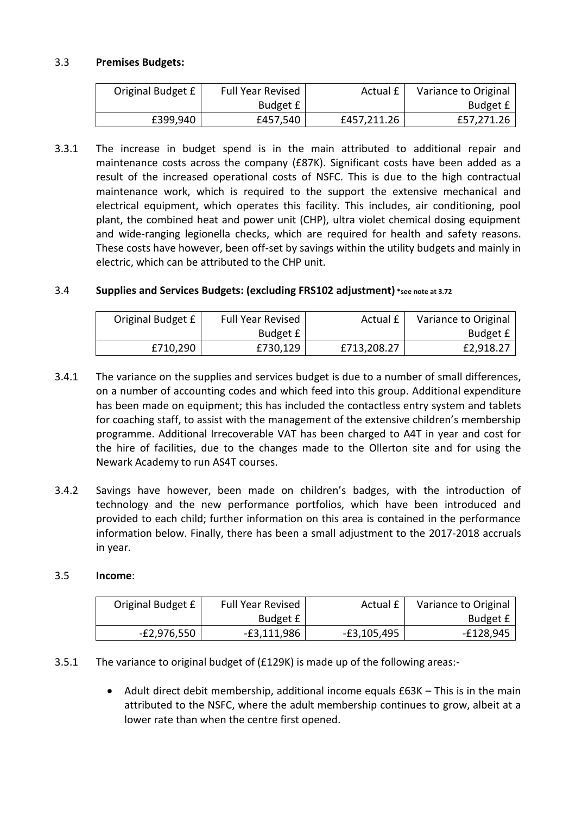# 3.3 **Premises Budgets:**

| Original Budget £ | <b>Full Year Revised</b> | Actual £    | Variance to Original |
|-------------------|--------------------------|-------------|----------------------|
|                   | Budget £                 |             | Budget £             |
| £399,940          | £457,540                 | £457,211.26 | £57,271.26           |

3.3.1 The increase in budget spend is in the main attributed to additional repair and maintenance costs across the company (£87K). Significant costs have been added as a result of the increased operational costs of NSFC. This is due to the high contractual maintenance work, which is required to the support the extensive mechanical and electrical equipment, which operates this facility. This includes, air conditioning, pool plant, the combined heat and power unit (CHP), ultra violet chemical dosing equipment and wide-ranging legionella checks, which are required for health and safety reasons. These costs have however, been off-set by savings within the utility budgets and mainly in electric, which can be attributed to the CHP unit.

# 3.4 **Supplies and Services Budgets: (excluding FRS102 adjustment) \*see note at 3.72**

| Original Budget £ | <b>Full Year Revised</b> | Actual £    | Variance to Original |
|-------------------|--------------------------|-------------|----------------------|
|                   | Budget £                 |             | Budget £             |
| £710,290          | £730,129                 | £713,208.27 | £2,918.27            |

- 3.4.1 The variance on the supplies and services budget is due to a number of small differences, on a number of accounting codes and which feed into this group. Additional expenditure has been made on equipment; this has included the contactless entry system and tablets for coaching staff, to assist with the management of the extensive children's membership programme. Additional Irrecoverable VAT has been charged to A4T in year and cost for the hire of facilities, due to the changes made to the Ollerton site and for using the Newark Academy to run AS4T courses.
- 3.4.2 Savings have however, been made on children's badges, with the introduction of technology and the new performance portfolios, which have been introduced and provided to each child; further information on this area is contained in the performance information below. Finally, there has been a small adjustment to the 2017-2018 accruals in year.

#### 3.5 **Income**:

| Original Budget £ | <b>Full Year Revised</b> | Actual £    | Variance to Original |
|-------------------|--------------------------|-------------|----------------------|
|                   | Budget $f$               |             | Budget £             |
| E2,976,550-       | E3,111,986               | -£3,105,495 | $-£128,945$          |

#### 3.5.1 The variance to original budget of (£129K) is made up of the following areas:-

 Adult direct debit membership, additional income equals £63K – This is in the main attributed to the NSFC, where the adult membership continues to grow, albeit at a lower rate than when the centre first opened.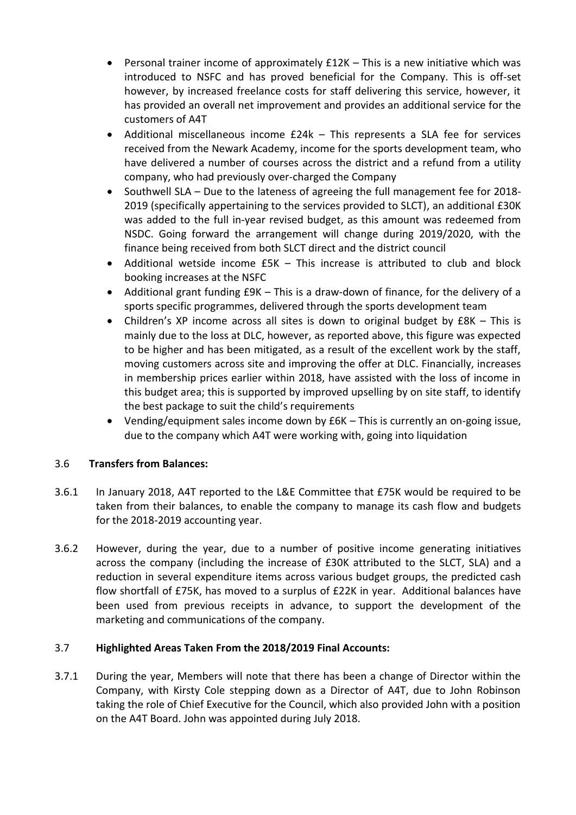- Personal trainer income of approximately £12K This is a new initiative which was introduced to NSFC and has proved beneficial for the Company. This is off-set however, by increased freelance costs for staff delivering this service, however, it has provided an overall net improvement and provides an additional service for the customers of A4T
- Additional miscellaneous income £24k This represents a SLA fee for services received from the Newark Academy, income for the sports development team, who have delivered a number of courses across the district and a refund from a utility company, who had previously over-charged the Company
- Southwell SLA Due to the lateness of agreeing the full management fee for 2018-2019 (specifically appertaining to the services provided to SLCT), an additional £30K was added to the full in-year revised budget, as this amount was redeemed from NSDC. Going forward the arrangement will change during 2019/2020, with the finance being received from both SLCT direct and the district council
- Additional wetside income £5K This increase is attributed to club and block booking increases at the NSFC
- Additional grant funding £9K This is a draw-down of finance, for the delivery of a sports specific programmes, delivered through the sports development team
- Children's XP income across all sites is down to original budget by £8K This is mainly due to the loss at DLC, however, as reported above, this figure was expected to be higher and has been mitigated, as a result of the excellent work by the staff, moving customers across site and improving the offer at DLC. Financially, increases in membership prices earlier within 2018, have assisted with the loss of income in this budget area; this is supported by improved upselling by on site staff, to identify the best package to suit the child's requirements
- Vending/equipment sales income down by £6K This is currently an on-going issue, due to the company which A4T were working with, going into liquidation

# 3.6 **Transfers from Balances:**

- 3.6.1 In January 2018, A4T reported to the L&E Committee that £75K would be required to be taken from their balances, to enable the company to manage its cash flow and budgets for the 2018-2019 accounting year.
- 3.6.2 However, during the year, due to a number of positive income generating initiatives across the company (including the increase of £30K attributed to the SLCT, SLA) and a reduction in several expenditure items across various budget groups, the predicted cash flow shortfall of £75K, has moved to a surplus of £22K in year. Additional balances have been used from previous receipts in advance, to support the development of the marketing and communications of the company.

# 3.7 **Highlighted Areas Taken From the 2018/2019 Final Accounts:**

3.7.1 During the year, Members will note that there has been a change of Director within the Company, with Kirsty Cole stepping down as a Director of A4T, due to John Robinson taking the role of Chief Executive for the Council, which also provided John with a position on the A4T Board. John was appointed during July 2018.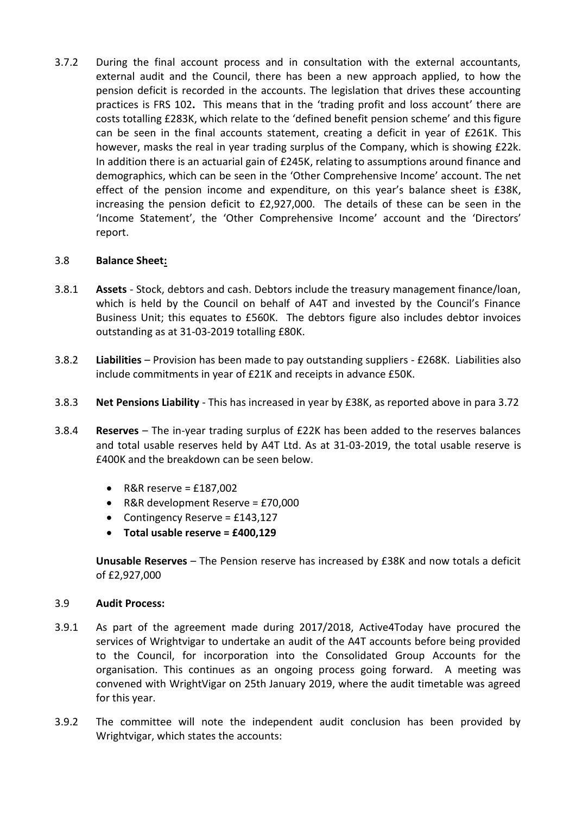3.7.2 During the final account process and in consultation with the external accountants, external audit and the Council, there has been a new approach applied, to how the pension deficit is recorded in the accounts. The legislation that drives these accounting practices is FRS 102**.** This means that in the 'trading profit and loss account' there are costs totalling £283K, which relate to the 'defined benefit pension scheme' and this figure can be seen in the final accounts statement, creating a deficit in year of £261K. This however, masks the real in year trading surplus of the Company, which is showing £22k. In addition there is an actuarial gain of £245K, relating to assumptions around finance and demographics, which can be seen in the 'Other Comprehensive Income' account. The net effect of the pension income and expenditure, on this year's balance sheet is £38K, increasing the pension deficit to £2,927,000. The details of these can be seen in the 'Income Statement', the 'Other Comprehensive Income' account and the 'Directors' report.

# 3.8 **Balance Sheet:**

- 3.8.1 **Assets** Stock, debtors and cash. Debtors include the treasury management finance/loan, which is held by the Council on behalf of A4T and invested by the Council's Finance Business Unit; this equates to £560K. The debtors figure also includes debtor invoices outstanding as at 31-03-2019 totalling £80K.
- 3.8.2 **Liabilities** Provision has been made to pay outstanding suppliers £268K. Liabilities also include commitments in year of £21K and receipts in advance £50K.
- 3.8.3 **Net Pensions Liability** This has increased in year by £38K, as reported above in para 3.72
- 3.8.4 **Reserves** The in-year trading surplus of £22K has been added to the reserves balances and total usable reserves held by A4T Ltd. As at 31-03-2019, the total usable reserve is £400K and the breakdown can be seen below.
	- $\bullet$  R&R reserve = £187,002
	- R&R development Reserve = £70,000
	- Contingency Reserve =  $£143,127$
	- **Total usable reserve = £400,129**

**Unusable Reserves** – The Pension reserve has increased by £38K and now totals a deficit of £2,927,000

#### 3.9 **Audit Process:**

- 3.9.1 As part of the agreement made during 2017/2018, Active4Today have procured the services of Wrightvigar to undertake an audit of the A4T accounts before being provided to the Council, for incorporation into the Consolidated Group Accounts for the organisation. This continues as an ongoing process going forward. A meeting was convened with WrightVigar on 25th January 2019, where the audit timetable was agreed for this year.
- 3.9.2 The committee will note the independent audit conclusion has been provided by Wrightvigar, which states the accounts: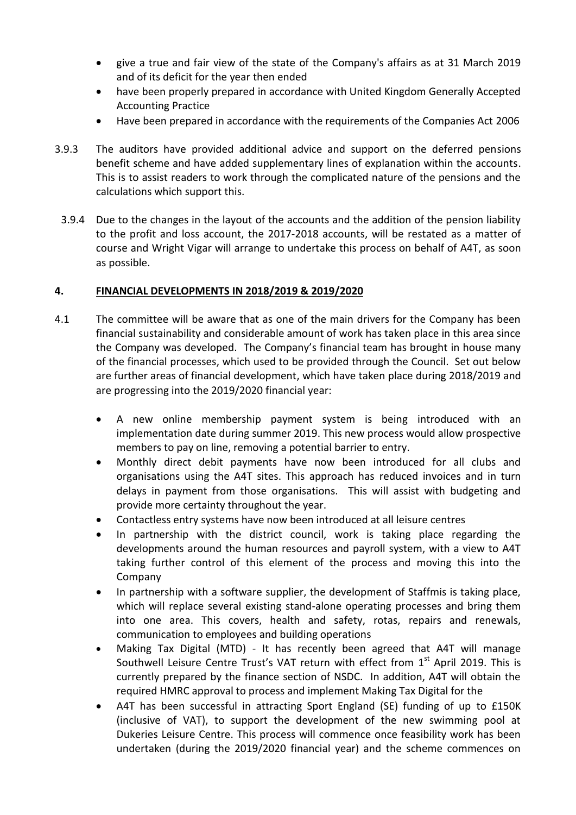- give a true and fair view of the state of the Company's affairs as at 31 March 2019 and of its deficit for the year then ended
- have been properly prepared in accordance with United Kingdom Generally Accepted Accounting Practice
- Have been prepared in accordance with the requirements of the Companies Act 2006
- 3.9.3 The auditors have provided additional advice and support on the deferred pensions benefit scheme and have added supplementary lines of explanation within the accounts. This is to assist readers to work through the complicated nature of the pensions and the calculations which support this.
- 3.9.4 Due to the changes in the layout of the accounts and the addition of the pension liability to the profit and loss account, the 2017-2018 accounts, will be restated as a matter of course and Wright Vigar will arrange to undertake this process on behalf of A4T, as soon as possible.

# **4. FINANCIAL DEVELOPMENTS IN 2018/2019 & 2019/2020**

- 4.1 The committee will be aware that as one of the main drivers for the Company has been financial sustainability and considerable amount of work has taken place in this area since the Company was developed. The Company's financial team has brought in house many of the financial processes, which used to be provided through the Council. Set out below are further areas of financial development, which have taken place during 2018/2019 and are progressing into the 2019/2020 financial year:
	- A new online membership payment system is being introduced with an implementation date during summer 2019. This new process would allow prospective members to pay on line, removing a potential barrier to entry.
	- Monthly direct debit payments have now been introduced for all clubs and organisations using the A4T sites. This approach has reduced invoices and in turn delays in payment from those organisations. This will assist with budgeting and provide more certainty throughout the year.
	- Contactless entry systems have now been introduced at all leisure centres
	- In partnership with the district council, work is taking place regarding the developments around the human resources and payroll system, with a view to A4T taking further control of this element of the process and moving this into the Company
	- In partnership with a software supplier, the development of Staffmis is taking place, which will replace several existing stand-alone operating processes and bring them into one area. This covers, health and safety, rotas, repairs and renewals, communication to employees and building operations
	- Making Tax Digital (MTD) It has recently been agreed that A4T will manage Southwell Leisure Centre Trust's VAT return with effect from  $1^\mathrm{st}$  April 2019. This is currently prepared by the finance section of NSDC. In addition, A4T will obtain the required HMRC approval to process and implement Making Tax Digital for the
	- A4T has been successful in attracting Sport England (SE) funding of up to £150K (inclusive of VAT), to support the development of the new swimming pool at Dukeries Leisure Centre. This process will commence once feasibility work has been undertaken (during the 2019/2020 financial year) and the scheme commences on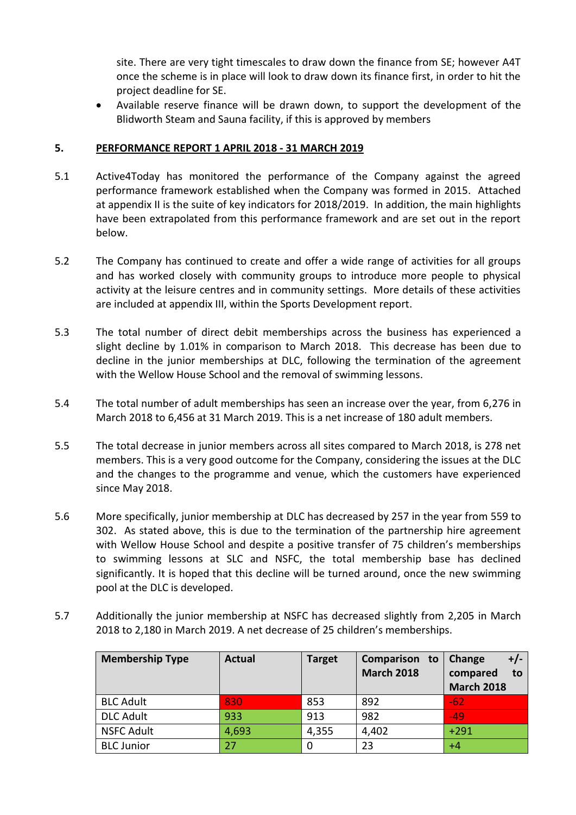site. There are very tight timescales to draw down the finance from SE; however A4T once the scheme is in place will look to draw down its finance first, in order to hit the project deadline for SE.

 Available reserve finance will be drawn down, to support the development of the Blidworth Steam and Sauna facility, if this is approved by members

# **5. PERFORMANCE REPORT 1 APRIL 2018 - 31 MARCH 2019**

- 5.1 Active4Today has monitored the performance of the Company against the agreed performance framework established when the Company was formed in 2015. Attached at appendix II is the suite of key indicators for 2018/2019. In addition, the main highlights have been extrapolated from this performance framework and are set out in the report below.
- 5.2 The Company has continued to create and offer a wide range of activities for all groups and has worked closely with community groups to introduce more people to physical activity at the leisure centres and in community settings. More details of these activities are included at appendix III, within the Sports Development report.
- 5.3 The total number of direct debit memberships across the business has experienced a slight decline by 1.01% in comparison to March 2018. This decrease has been due to decline in the junior memberships at DLC, following the termination of the agreement with the Wellow House School and the removal of swimming lessons.
- 5.4 The total number of adult memberships has seen an increase over the year, from 6,276 in March 2018 to 6,456 at 31 March 2019. This is a net increase of 180 adult members.
- 5.5 The total decrease in junior members across all sites compared to March 2018, is 278 net members. This is a very good outcome for the Company, considering the issues at the DLC and the changes to the programme and venue, which the customers have experienced since May 2018.
- 5.6 More specifically, junior membership at DLC has decreased by 257 in the year from 559 to 302. As stated above, this is due to the termination of the partnership hire agreement with Wellow House School and despite a positive transfer of 75 children's memberships to swimming lessons at SLC and NSFC, the total membership base has declined significantly. It is hoped that this decline will be turned around, once the new swimming pool at the DLC is developed.
- 5.7 Additionally the junior membership at NSFC has decreased slightly from 2,205 in March 2018 to 2,180 in March 2019. A net decrease of 25 children's memberships.

| <b>Membership Type</b> | <b>Actual</b> | <b>Target</b> | Comparison to<br><b>March 2018</b> | $+/-$<br>Change<br>compared<br>to<br><b>March 2018</b> |
|------------------------|---------------|---------------|------------------------------------|--------------------------------------------------------|
| <b>BLC Adult</b>       | 830           | 853           | 892                                | $-62$                                                  |
| <b>DLC Adult</b>       | 933           | 913           | 982                                | $-49$                                                  |
| <b>NSFC Adult</b>      | 4,693         | 4,355         | 4,402                              | $+291$                                                 |
| <b>BLC Junior</b>      | 27            |               | 23                                 | $+4$                                                   |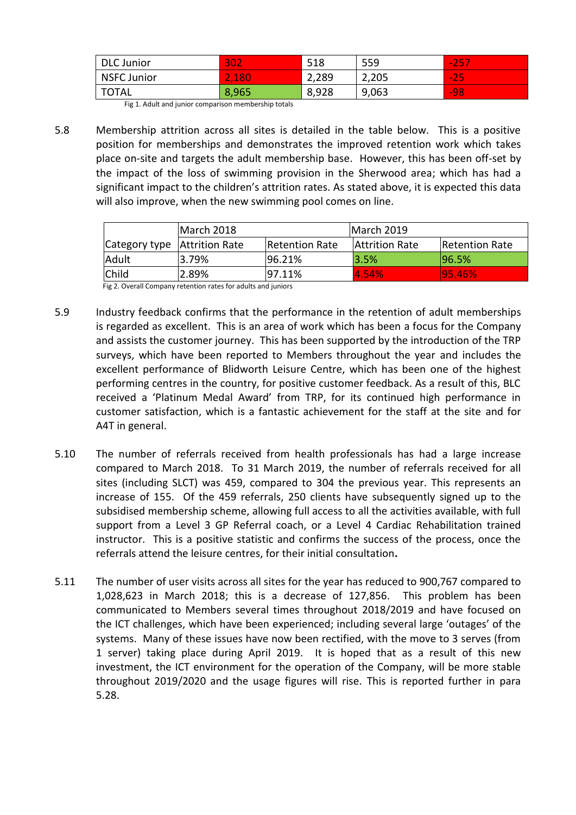| <b>DLC</b> Junior  | 302                 | 518   | 559   | $\overline{\phantom{a}}$<br>25<br>. . |
|--------------------|---------------------|-------|-------|---------------------------------------|
| <b>NSFC Junior</b> | .180<br><b>A.A.</b> | 2,289 | 2,205 | $\sim$<br><b>STAR</b>                 |
| <b>TOTAL</b>       | 8,965               | 8,928 | 9,063 | $-98$                                 |

Fig 1. Adult and junior comparison membership totals

5.8 Membership attrition across all sites is detailed in the table below. This is a positive position for memberships and demonstrates the improved retention work which takes place on-site and targets the adult membership base. However, this has been off-set by the impact of the loss of swimming provision in the Sherwood area; which has had a significant impact to the children's attrition rates. As stated above, it is expected this data will also improve, when the new swimming pool comes on line.

|                                | IMarch 2018 |                       | IMarch 2019           |                |
|--------------------------------|-------------|-----------------------|-----------------------|----------------|
| Category type   Attrition Rate |             | <b>Retention Rate</b> | <b>Attrition Rate</b> | Retention Rate |
| Adult                          | 3.79%       | 196.21%               | 3.5%                  | 96.5%          |
| <b>Child</b>                   | 2.89%       | $ 97.11\%$            | 4.54%                 | 195.46%        |

Fig 2. Overall Company retention rates for adults and juniors

- 5.9 Industry feedback confirms that the performance in the retention of adult memberships is regarded as excellent. This is an area of work which has been a focus for the Company and assists the customer journey. This has been supported by the introduction of the TRP surveys, which have been reported to Members throughout the year and includes the excellent performance of Blidworth Leisure Centre, which has been one of the highest performing centres in the country, for positive customer feedback. As a result of this, BLC received a 'Platinum Medal Award' from TRP, for its continued high performance in customer satisfaction, which is a fantastic achievement for the staff at the site and for A4T in general.
- 5.10 The number of referrals received from health professionals has had a large increase compared to March 2018. To 31 March 2019, the number of referrals received for all sites (including SLCT) was 459, compared to 304 the previous year. This represents an increase of 155. Of the 459 referrals, 250 clients have subsequently signed up to the subsidised membership scheme, allowing full access to all the activities available, with full support from a Level 3 GP Referral coach, or a Level 4 Cardiac Rehabilitation trained instructor. This is a positive statistic and confirms the success of the process, once the referrals attend the leisure centres, for their initial consultation**.**
- 5.11 The number of user visits across all sites for the year has reduced to 900,767 compared to 1,028,623 in March 2018; this is a decrease of 127,856. This problem has been communicated to Members several times throughout 2018/2019 and have focused on the ICT challenges, which have been experienced; including several large 'outages' of the systems. Many of these issues have now been rectified, with the move to 3 serves (from 1 server) taking place during April 2019. It is hoped that as a result of this new investment, the ICT environment for the operation of the Company, will be more stable throughout 2019/2020 and the usage figures will rise. This is reported further in para 5.28.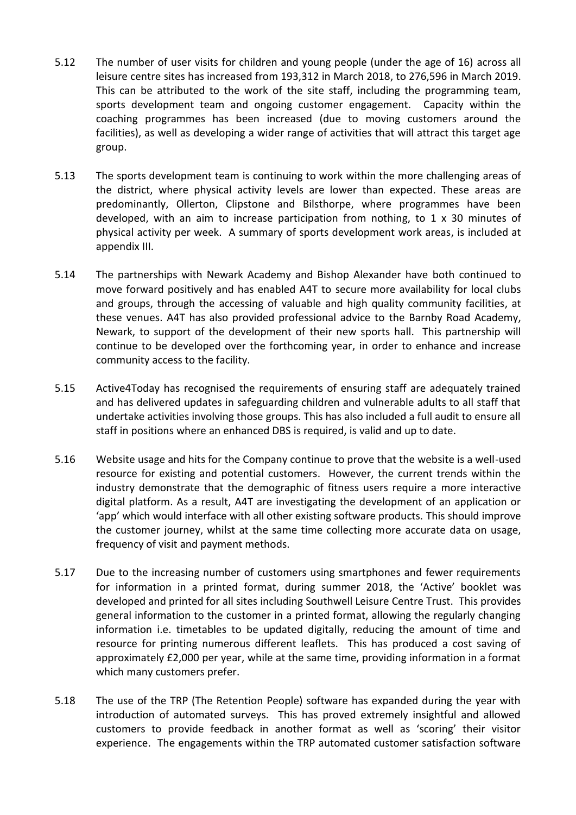- 5.12 The number of user visits for children and young people (under the age of 16) across all leisure centre sites has increased from 193,312 in March 2018, to 276,596 in March 2019. This can be attributed to the work of the site staff, including the programming team, sports development team and ongoing customer engagement. Capacity within the coaching programmes has been increased (due to moving customers around the facilities), as well as developing a wider range of activities that will attract this target age group.
- 5.13 The sports development team is continuing to work within the more challenging areas of the district, where physical activity levels are lower than expected. These areas are predominantly, Ollerton, Clipstone and Bilsthorpe, where programmes have been developed, with an aim to increase participation from nothing, to  $1 \times 30$  minutes of physical activity per week. A summary of sports development work areas, is included at appendix III.
- 5.14 The partnerships with Newark Academy and Bishop Alexander have both continued to move forward positively and has enabled A4T to secure more availability for local clubs and groups, through the accessing of valuable and high quality community facilities, at these venues. A4T has also provided professional advice to the Barnby Road Academy, Newark, to support of the development of their new sports hall. This partnership will continue to be developed over the forthcoming year, in order to enhance and increase community access to the facility.
- 5.15 Active4Today has recognised the requirements of ensuring staff are adequately trained and has delivered updates in safeguarding children and vulnerable adults to all staff that undertake activities involving those groups. This has also included a full audit to ensure all staff in positions where an enhanced DBS is required, is valid and up to date.
- 5.16 Website usage and hits for the Company continue to prove that the website is a well-used resource for existing and potential customers. However, the current trends within the industry demonstrate that the demographic of fitness users require a more interactive digital platform. As a result, A4T are investigating the development of an application or 'app' which would interface with all other existing software products. This should improve the customer journey, whilst at the same time collecting more accurate data on usage, frequency of visit and payment methods.
- 5.17 Due to the increasing number of customers using smartphones and fewer requirements for information in a printed format, during summer 2018, the 'Active' booklet was developed and printed for all sites including Southwell Leisure Centre Trust. This provides general information to the customer in a printed format, allowing the regularly changing information i.e. timetables to be updated digitally, reducing the amount of time and resource for printing numerous different leaflets. This has produced a cost saving of approximately £2,000 per year, while at the same time, providing information in a format which many customers prefer.
- 5.18 The use of the TRP (The Retention People) software has expanded during the year with introduction of automated surveys. This has proved extremely insightful and allowed customers to provide feedback in another format as well as 'scoring' their visitor experience. The engagements within the TRP automated customer satisfaction software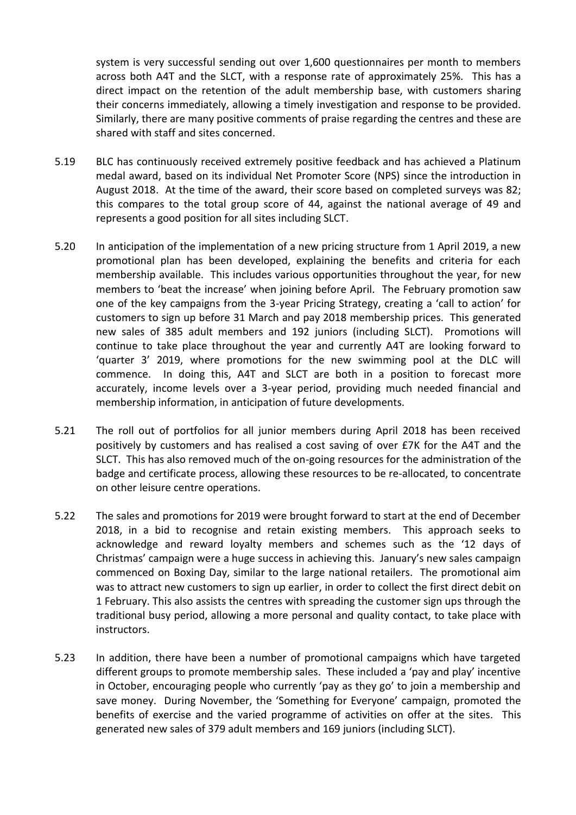system is very successful sending out over 1,600 questionnaires per month to members across both A4T and the SLCT, with a response rate of approximately 25%. This has a direct impact on the retention of the adult membership base, with customers sharing their concerns immediately, allowing a timely investigation and response to be provided. Similarly, there are many positive comments of praise regarding the centres and these are shared with staff and sites concerned.

- 5.19 BLC has continuously received extremely positive feedback and has achieved a Platinum medal award, based on its individual Net Promoter Score (NPS) since the introduction in August 2018. At the time of the award, their score based on completed surveys was 82; this compares to the total group score of 44, against the national average of 49 and represents a good position for all sites including SLCT.
- 5.20 In anticipation of the implementation of a new pricing structure from 1 April 2019, a new promotional plan has been developed, explaining the benefits and criteria for each membership available. This includes various opportunities throughout the year, for new members to 'beat the increase' when joining before April. The February promotion saw one of the key campaigns from the 3-year Pricing Strategy, creating a 'call to action' for customers to sign up before 31 March and pay 2018 membership prices. This generated new sales of 385 adult members and 192 juniors (including SLCT). Promotions will continue to take place throughout the year and currently A4T are looking forward to 'quarter 3' 2019, where promotions for the new swimming pool at the DLC will commence. In doing this, A4T and SLCT are both in a position to forecast more accurately, income levels over a 3-year period, providing much needed financial and membership information, in anticipation of future developments.
- 5.21 The roll out of portfolios for all junior members during April 2018 has been received positively by customers and has realised a cost saving of over £7K for the A4T and the SLCT. This has also removed much of the on-going resources for the administration of the badge and certificate process, allowing these resources to be re-allocated, to concentrate on other leisure centre operations.
- 5.22 The sales and promotions for 2019 were brought forward to start at the end of December 2018, in a bid to recognise and retain existing members. This approach seeks to acknowledge and reward loyalty members and schemes such as the '12 days of Christmas' campaign were a huge success in achieving this. January's new sales campaign commenced on Boxing Day, similar to the large national retailers. The promotional aim was to attract new customers to sign up earlier, in order to collect the first direct debit on 1 February. This also assists the centres with spreading the customer sign ups through the traditional busy period, allowing a more personal and quality contact, to take place with instructors.
- 5.23 In addition, there have been a number of promotional campaigns which have targeted different groups to promote membership sales. These included a 'pay and play' incentive in October, encouraging people who currently 'pay as they go' to join a membership and save money. During November, the 'Something for Everyone' campaign, promoted the benefits of exercise and the varied programme of activities on offer at the sites. This generated new sales of 379 adult members and 169 juniors (including SLCT).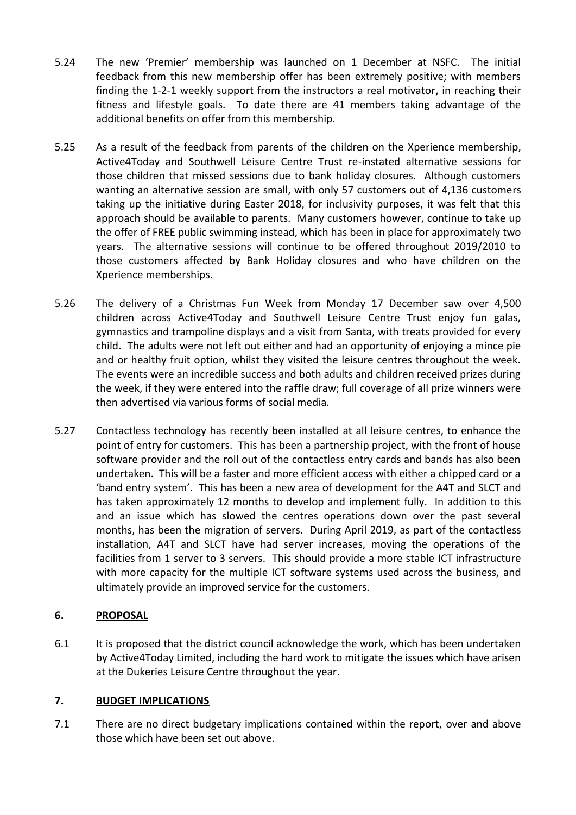- 5.24 The new 'Premier' membership was launched on 1 December at NSFC. The initial feedback from this new membership offer has been extremely positive; with members finding the 1-2-1 weekly support from the instructors a real motivator, in reaching their fitness and lifestyle goals. To date there are 41 members taking advantage of the additional benefits on offer from this membership.
- 5.25 As a result of the feedback from parents of the children on the Xperience membership, Active4Today and Southwell Leisure Centre Trust re-instated alternative sessions for those children that missed sessions due to bank holiday closures. Although customers wanting an alternative session are small, with only 57 customers out of 4,136 customers taking up the initiative during Easter 2018, for inclusivity purposes, it was felt that this approach should be available to parents. Many customers however, continue to take up the offer of FREE public swimming instead, which has been in place for approximately two years. The alternative sessions will continue to be offered throughout 2019/2010 to those customers affected by Bank Holiday closures and who have children on the Xperience memberships.
- 5.26 The delivery of a Christmas Fun Week from Monday 17 December saw over 4,500 children across Active4Today and Southwell Leisure Centre Trust enjoy fun galas, gymnastics and trampoline displays and a visit from Santa, with treats provided for every child. The adults were not left out either and had an opportunity of enjoying a mince pie and or healthy fruit option, whilst they visited the leisure centres throughout the week. The events were an incredible success and both adults and children received prizes during the week, if they were entered into the raffle draw; full coverage of all prize winners were then advertised via various forms of social media.
- 5.27 Contactless technology has recently been installed at all leisure centres, to enhance the point of entry for customers. This has been a partnership project, with the front of house software provider and the roll out of the contactless entry cards and bands has also been undertaken. This will be a faster and more efficient access with either a chipped card or a 'band entry system'. This has been a new area of development for the A4T and SLCT and has taken approximately 12 months to develop and implement fully. In addition to this and an issue which has slowed the centres operations down over the past several months, has been the migration of servers. During April 2019, as part of the contactless installation, A4T and SLCT have had server increases, moving the operations of the facilities from 1 server to 3 servers. This should provide a more stable ICT infrastructure with more capacity for the multiple ICT software systems used across the business, and ultimately provide an improved service for the customers.

# **6. PROPOSAL**

6.1 It is proposed that the district council acknowledge the work, which has been undertaken by Active4Today Limited, including the hard work to mitigate the issues which have arisen at the Dukeries Leisure Centre throughout the year.

#### **7. BUDGET IMPLICATIONS**

7.1 There are no direct budgetary implications contained within the report, over and above those which have been set out above.